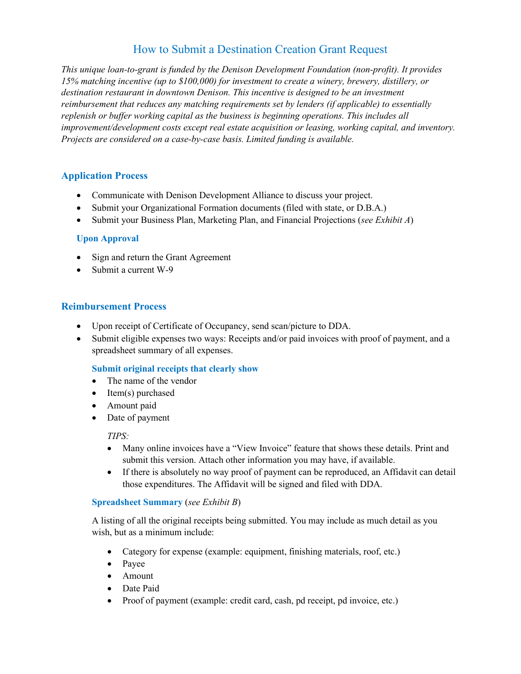# How to Submit a Destination Creation Grant Request

*This unique loan-to-grant is funded by the Denison Development Foundation (non-profit). It provides 15% matching incentive (up to \$100,000) for investment to create a winery, brewery, distillery, or destination restaurant in downtown Denison. This incentive is designed to be an investment reimbursement that reduces any matching requirements set by lenders (if applicable) to essentially replenish or buffer working capital as the business is beginning operations. This includes all improvement/development costs except real estate acquisition or leasing, working capital, and inventory. Projects are considered on a case-by-case basis. Limited funding is available.*

## **Application Process**

- Communicate with Denison Development Alliance to discuss your project.
- Submit your Organizational Formation documents (filed with state, or D.B.A.)
- Submit your Business Plan, Marketing Plan, and Financial Projections (*see Exhibit A*)

### **Upon Approval**

- Sign and return the Grant Agreement
- Submit a current W-9

### **Reimbursement Process**

- Upon receipt of Certificate of Occupancy, send scan/picture to DDA.
- Submit eligible expenses two ways: Receipts and/or paid invoices with proof of payment, and a spreadsheet summary of all expenses.

### **Submit original receipts that clearly show**

- The name of the vendor
- Item(s) purchased
- Amount paid
- Date of payment

#### *TIPS:*

- Many online invoices have a "View Invoice" feature that shows these details. Print and submit this version. Attach other information you may have, if available.
- If there is absolutely no way proof of payment can be reproduced, an Affidavit can detail those expenditures. The Affidavit will be signed and filed with DDA.

#### **Spreadsheet Summary** (*see Exhibit B*)

A listing of all the original receipts being submitted. You may include as much detail as you wish, but as a minimum include:

- Category for expense (example: equipment, finishing materials, roof, etc.)
- Payee
- Amount
- Date Paid
- Proof of payment (example: credit card, cash, pd receipt, pd invoice, etc.)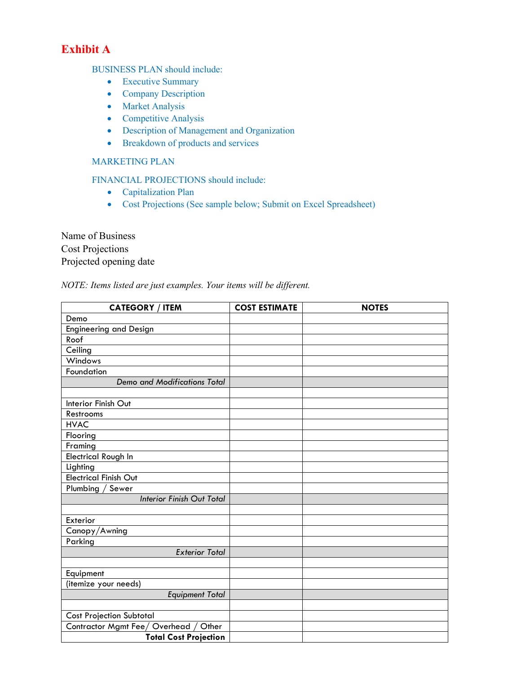# **Exhibit A**

BUSINESS PLAN should include:

- Executive Summary
- Company Description
- Market Analysis
- Competitive Analysis
- Description of Management and Organization
- Breakdown of products and services

## MARKETING PLAN

FINANCIAL PROJECTIONS should include:

- Capitalization Plan
- Cost Projections (See sample below; Submit on Excel Spreadsheet)

Name of Business Cost Projections Projected opening date

## *NOTE: Items listed are just examples. Your items will be different.*

| <b>CATEGORY / ITEM</b>                  | <b>COST ESTIMATE</b> | <b>NOTES</b> |
|-----------------------------------------|----------------------|--------------|
| Demo                                    |                      |              |
| <b>Engineering and Design</b>           |                      |              |
| Roof                                    |                      |              |
| Ceiling                                 |                      |              |
| Windows                                 |                      |              |
| Foundation                              |                      |              |
| <b>Demo and Modifications Total</b>     |                      |              |
|                                         |                      |              |
| Interior Finish Out                     |                      |              |
| Restrooms                               |                      |              |
| <b>HVAC</b>                             |                      |              |
| Flooring                                |                      |              |
| Framing                                 |                      |              |
| Electrical Rough In                     |                      |              |
| Lighting                                |                      |              |
| <b>Electrical Finish Out</b>            |                      |              |
| Plumbing / Sewer                        |                      |              |
| <b>Interior Finish Out Total</b>        |                      |              |
|                                         |                      |              |
| Exterior                                |                      |              |
| Canopy/Awning                           |                      |              |
| Parking                                 |                      |              |
| <b>Exterior Total</b>                   |                      |              |
|                                         |                      |              |
| Equipment                               |                      |              |
| (itemize your needs)                    |                      |              |
| <b>Equipment Total</b>                  |                      |              |
|                                         |                      |              |
| <b>Cost Projection Subtotal</b>         |                      |              |
| Contractor Mgmt Fee/Overhead /<br>Other |                      |              |
| <b>Total Cost Projection</b>            |                      |              |